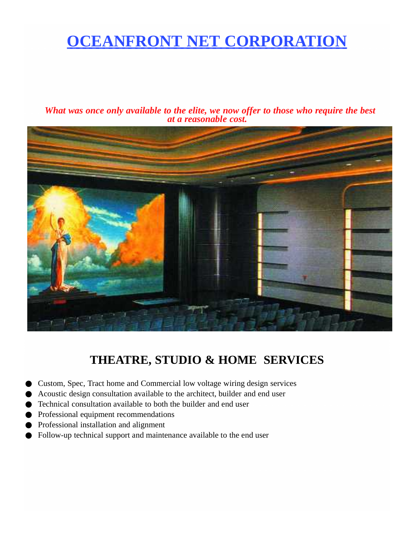## **OCEANFRONT NET CORPORATION**

*What was once only available to the elite, we now offer to those who require the best at a reasonable cost.*



### **THEATRE, STUDIO & HOME SERVICES**

- Custom, Spec, Tract home and Commercial low voltage wiring design services
- Acoustic design consultation available to the architect, builder and end user
- Technical consultation available to both the builder and end user
- Professional equipment recommendations
- Professional installation and alignment
- Follow-up technical support and maintenance available to the end user